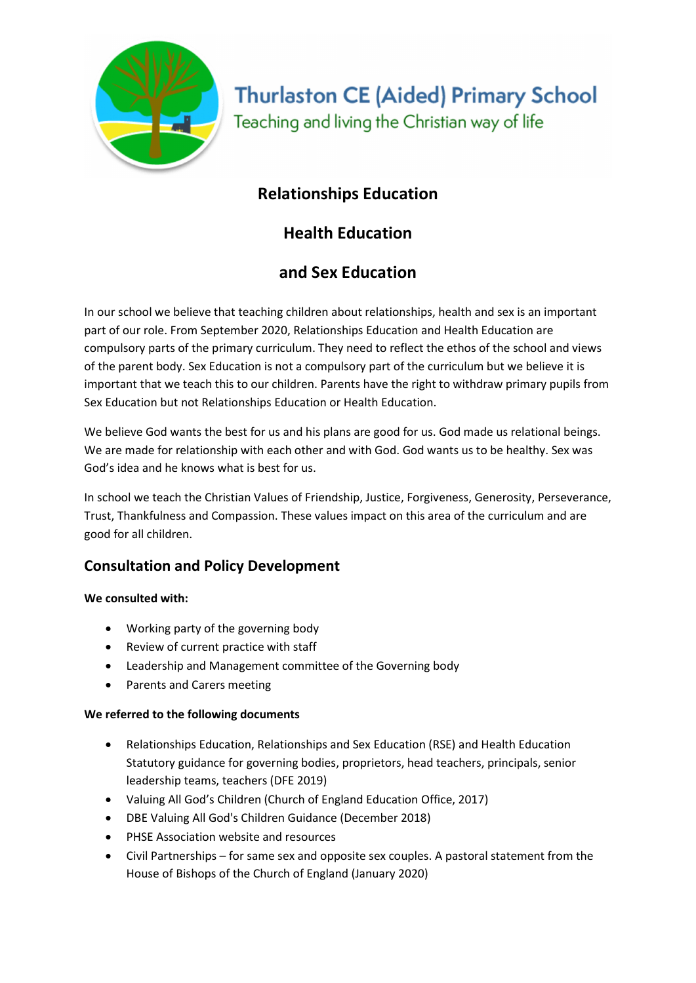

**Thurlaston CE (Aided) Primary School** Teaching and living the Christian way of life

## Relationships Education

## Health Education

## and Sex Education

In our school we believe that teaching children about relationships, health and sex is an important part of our role. From September 2020, Relationships Education and Health Education are compulsory parts of the primary curriculum. They need to reflect the ethos of the school and views of the parent body. Sex Education is not a compulsory part of the curriculum but we believe it is important that we teach this to our children. Parents have the right to withdraw primary pupils from Sex Education but not Relationships Education or Health Education.

We believe God wants the best for us and his plans are good for us. God made us relational beings. We are made for relationship with each other and with God. God wants us to be healthy. Sex was God's idea and he knows what is best for us.

In school we teach the Christian Values of Friendship, Justice, Forgiveness, Generosity, Perseverance, Trust, Thankfulness and Compassion. These values impact on this area of the curriculum and are good for all children.

## Consultation and Policy Development

### We consulted with:

- Working party of the governing body
- Review of current practice with staff
- Leadership and Management committee of the Governing body
- Parents and Carers meeting

#### We referred to the following documents

- Relationships Education, Relationships and Sex Education (RSE) and Health Education Statutory guidance for governing bodies, proprietors, head teachers, principals, senior leadership teams, teachers (DFE 2019)
- Valuing All God's Children (Church of England Education Office, 2017)
- DBE Valuing All God's Children Guidance (December 2018)
- PHSE Association website and resources
- Civil Partnerships for same sex and opposite sex couples. A pastoral statement from the House of Bishops of the Church of England (January 2020)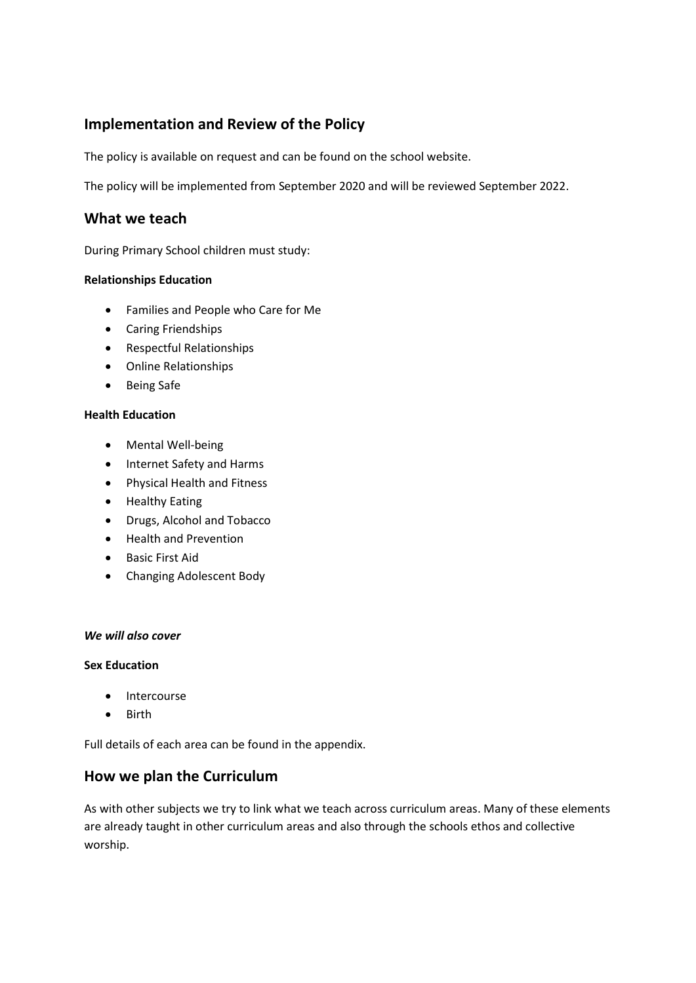### Implementation and Review of the Policy

The policy is available on request and can be found on the school website.

The policy will be implemented from September 2020 and will be reviewed September 2022.

### What we teach

During Primary School children must study:

#### Relationships Education

- Families and People who Care for Me
- Caring Friendships
- Respectful Relationships
- Online Relationships
- Being Safe

#### Health Education

- Mental Well-being
- Internet Safety and Harms
- Physical Health and Fitness
- Healthy Eating
- Drugs, Alcohol and Tobacco
- Health and Prevention
- **Basic First Aid**
- Changing Adolescent Body

#### We will also cover

#### Sex Education

- Intercourse
- Birth

Full details of each area can be found in the appendix.

### How we plan the Curriculum

As with other subjects we try to link what we teach across curriculum areas. Many of these elements are already taught in other curriculum areas and also through the schools ethos and collective worship.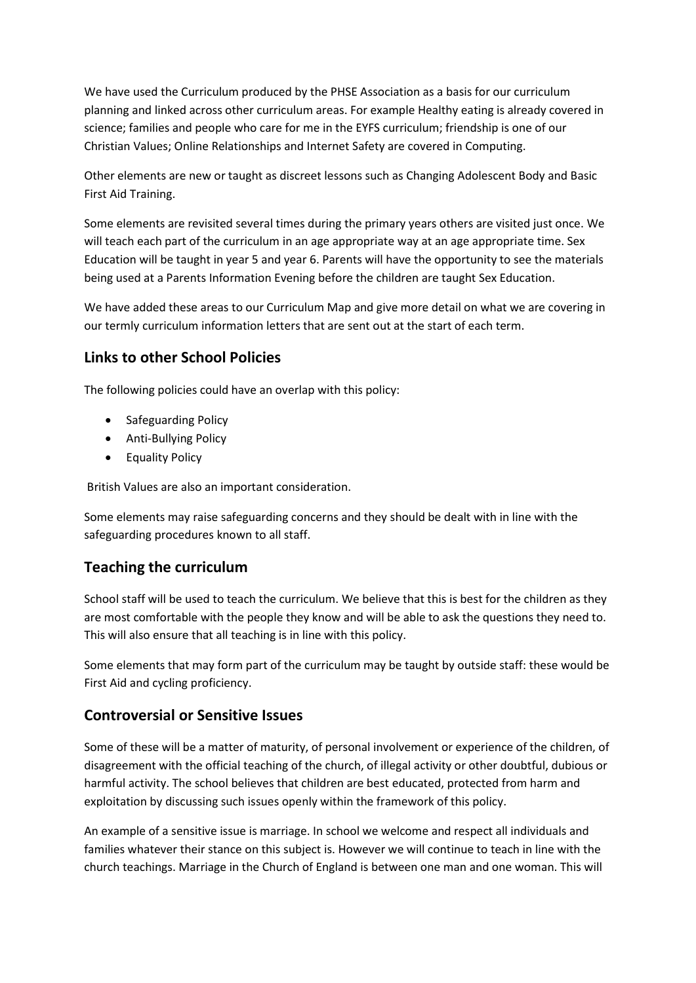We have used the Curriculum produced by the PHSE Association as a basis for our curriculum planning and linked across other curriculum areas. For example Healthy eating is already covered in science; families and people who care for me in the EYFS curriculum; friendship is one of our Christian Values; Online Relationships and Internet Safety are covered in Computing.

Other elements are new or taught as discreet lessons such as Changing Adolescent Body and Basic First Aid Training.

Some elements are revisited several times during the primary years others are visited just once. We will teach each part of the curriculum in an age appropriate way at an age appropriate time. Sex Education will be taught in year 5 and year 6. Parents will have the opportunity to see the materials being used at a Parents Information Evening before the children are taught Sex Education.

We have added these areas to our Curriculum Map and give more detail on what we are covering in our termly curriculum information letters that are sent out at the start of each term.

### Links to other School Policies

The following policies could have an overlap with this policy:

- Safeguarding Policy
- Anti-Bullying Policy
- **•** Equality Policy

British Values are also an important consideration.

Some elements may raise safeguarding concerns and they should be dealt with in line with the safeguarding procedures known to all staff.

### Teaching the curriculum

School staff will be used to teach the curriculum. We believe that this is best for the children as they are most comfortable with the people they know and will be able to ask the questions they need to. This will also ensure that all teaching is in line with this policy.

Some elements that may form part of the curriculum may be taught by outside staff: these would be First Aid and cycling proficiency.

### Controversial or Sensitive Issues

Some of these will be a matter of maturity, of personal involvement or experience of the children, of disagreement with the official teaching of the church, of illegal activity or other doubtful, dubious or harmful activity. The school believes that children are best educated, protected from harm and exploitation by discussing such issues openly within the framework of this policy.

An example of a sensitive issue is marriage. In school we welcome and respect all individuals and families whatever their stance on this subject is. However we will continue to teach in line with the church teachings. Marriage in the Church of England is between one man and one woman. This will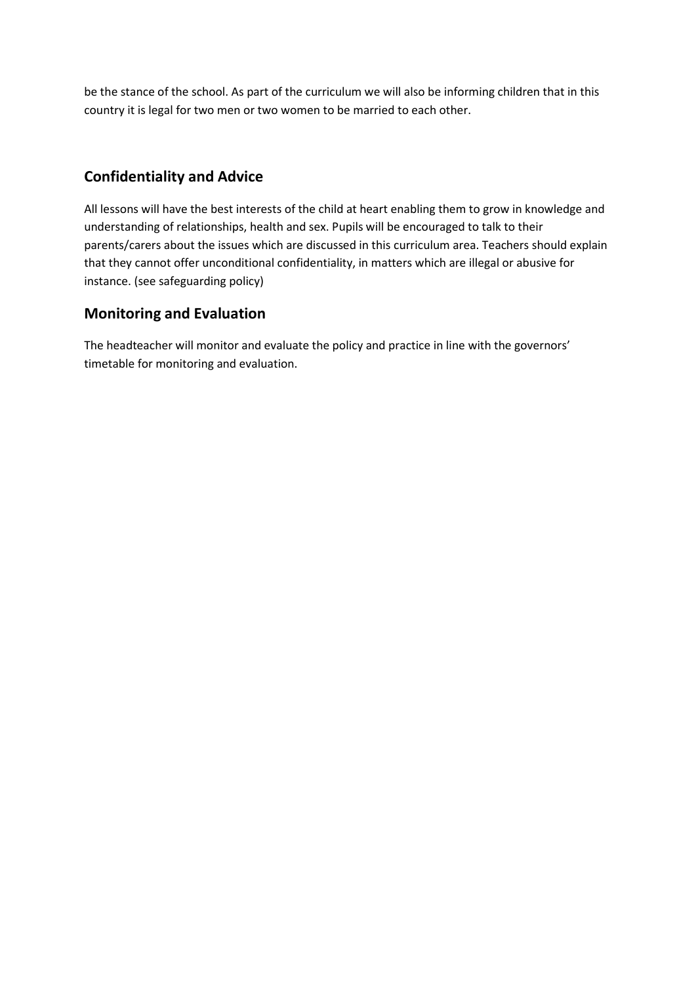be the stance of the school. As part of the curriculum we will also be informing children that in this country it is legal for two men or two women to be married to each other.

### Confidentiality and Advice

All lessons will have the best interests of the child at heart enabling them to grow in knowledge and understanding of relationships, health and sex. Pupils will be encouraged to talk to their parents/carers about the issues which are discussed in this curriculum area. Teachers should explain that they cannot offer unconditional confidentiality, in matters which are illegal or abusive for instance. (see safeguarding policy)

### Monitoring and Evaluation

The headteacher will monitor and evaluate the policy and practice in line with the governors' timetable for monitoring and evaluation.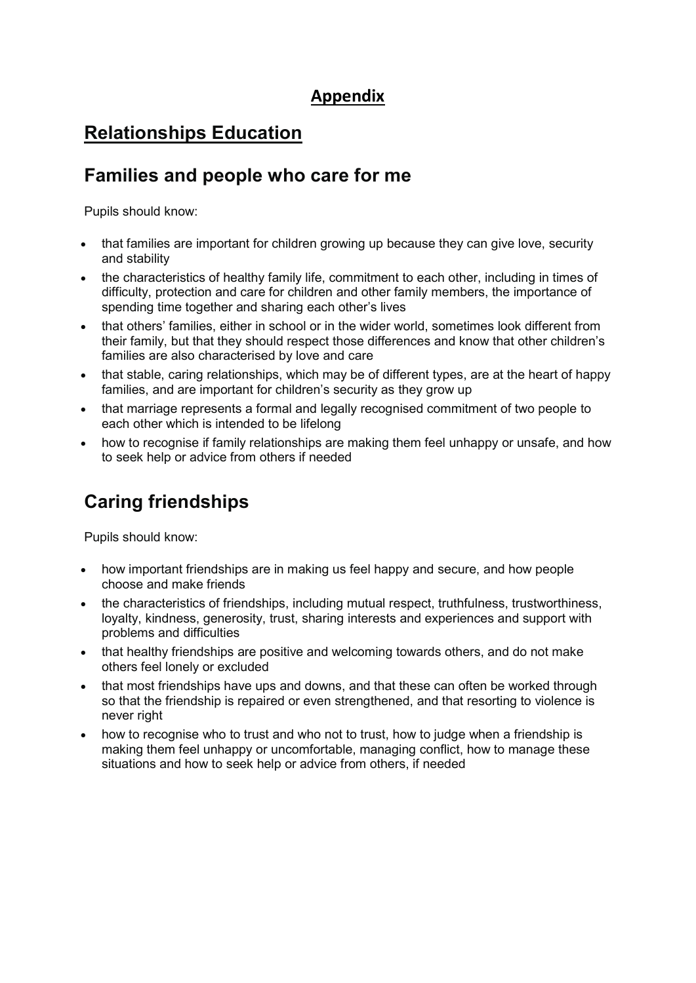## Appendix

# Relationships Education

## Families and people who care for me

Pupils should know:

- that families are important for children growing up because they can give love, security and stability
- the characteristics of healthy family life, commitment to each other, including in times of difficulty, protection and care for children and other family members, the importance of spending time together and sharing each other's lives
- that others' families, either in school or in the wider world, sometimes look different from their family, but that they should respect those differences and know that other children's families are also characterised by love and care
- that stable, caring relationships, which may be of different types, are at the heart of happy families, and are important for children's security as they grow up
- that marriage represents a formal and legally recognised commitment of two people to each other which is intended to be lifelong
- how to recognise if family relationships are making them feel unhappy or unsafe, and how to seek help or advice from others if needed

# Caring friendships

- how important friendships are in making us feel happy and secure, and how people choose and make friends
- the characteristics of friendships, including mutual respect, truthfulness, trustworthiness, loyalty, kindness, generosity, trust, sharing interests and experiences and support with problems and difficulties
- that healthy friendships are positive and welcoming towards others, and do not make others feel lonely or excluded
- that most friendships have ups and downs, and that these can often be worked through so that the friendship is repaired or even strengthened, and that resorting to violence is never right
- how to recognise who to trust and who not to trust, how to judge when a friendship is making them feel unhappy or uncomfortable, managing conflict, how to manage these situations and how to seek help or advice from others, if needed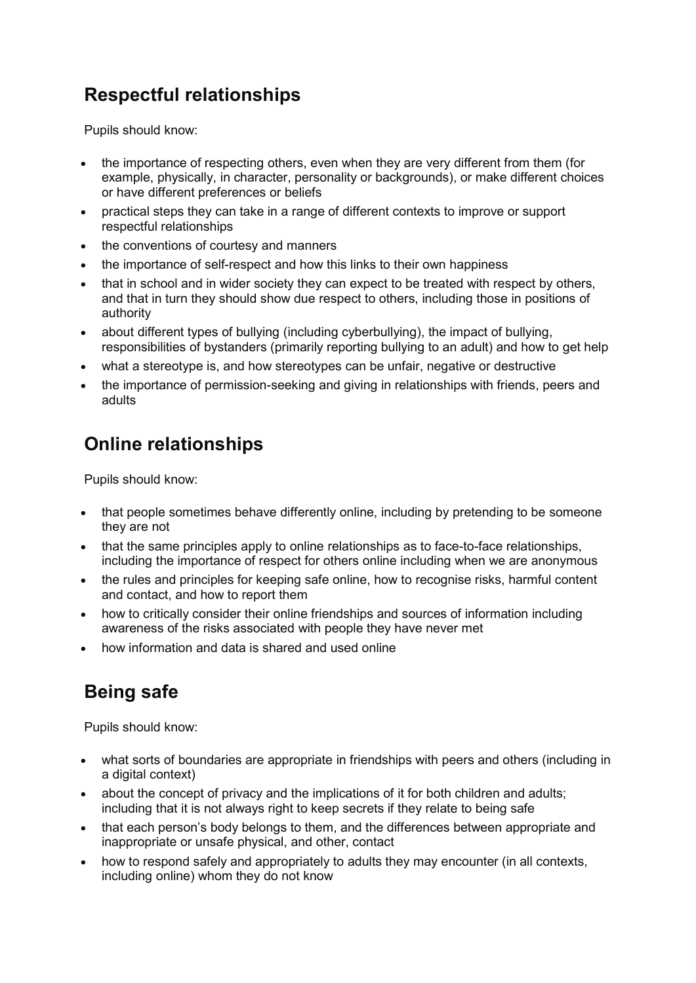# Respectful relationships

Pupils should know:

- the importance of respecting others, even when they are very different from them (for example, physically, in character, personality or backgrounds), or make different choices or have different preferences or beliefs
- practical steps they can take in a range of different contexts to improve or support respectful relationships
- the conventions of courtesy and manners
- the importance of self-respect and how this links to their own happiness
- that in school and in wider society they can expect to be treated with respect by others, and that in turn they should show due respect to others, including those in positions of authority
- about different types of bullying (including cyberbullying), the impact of bullying, responsibilities of bystanders (primarily reporting bullying to an adult) and how to get help
- what a stereotype is, and how stereotypes can be unfair, negative or destructive
- the importance of permission-seeking and giving in relationships with friends, peers and adults

# Online relationships

Pupils should know:

- that people sometimes behave differently online, including by pretending to be someone they are not
- that the same principles apply to online relationships as to face-to-face relationships, including the importance of respect for others online including when we are anonymous
- the rules and principles for keeping safe online, how to recognise risks, harmful content and contact, and how to report them
- how to critically consider their online friendships and sources of information including awareness of the risks associated with people they have never met
- how information and data is shared and used online

# Being safe

- what sorts of boundaries are appropriate in friendships with peers and others (including in a digital context)
- about the concept of privacy and the implications of it for both children and adults; including that it is not always right to keep secrets if they relate to being safe
- that each person's body belongs to them, and the differences between appropriate and inappropriate or unsafe physical, and other, contact
- how to respond safely and appropriately to adults they may encounter (in all contexts, including online) whom they do not know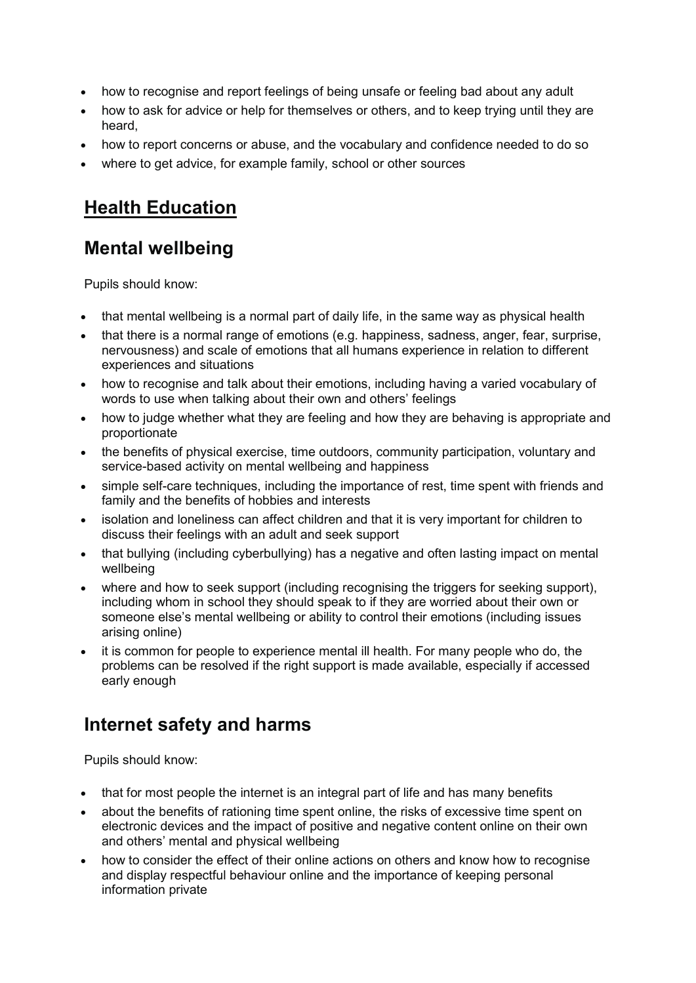- how to recognise and report feelings of being unsafe or feeling bad about any adult
- how to ask for advice or help for themselves or others, and to keep trying until they are heard,
- how to report concerns or abuse, and the vocabulary and confidence needed to do so
- where to get advice, for example family, school or other sources

# Health Education

## Mental wellbeing

Pupils should know:

- that mental wellbeing is a normal part of daily life, in the same way as physical health
- that there is a normal range of emotions (e.g. happiness, sadness, anger, fear, surprise, nervousness) and scale of emotions that all humans experience in relation to different experiences and situations
- how to recognise and talk about their emotions, including having a varied vocabulary of words to use when talking about their own and others' feelings
- how to judge whether what they are feeling and how they are behaving is appropriate and proportionate
- the benefits of physical exercise, time outdoors, community participation, voluntary and service-based activity on mental wellbeing and happiness
- simple self-care techniques, including the importance of rest, time spent with friends and family and the benefits of hobbies and interests
- isolation and loneliness can affect children and that it is very important for children to discuss their feelings with an adult and seek support
- that bullying (including cyberbullying) has a negative and often lasting impact on mental wellbeing
- where and how to seek support (including recognising the triggers for seeking support), including whom in school they should speak to if they are worried about their own or someone else's mental wellbeing or ability to control their emotions (including issues arising online)
- it is common for people to experience mental ill health. For many people who do, the problems can be resolved if the right support is made available, especially if accessed early enough

## Internet safety and harms

- that for most people the internet is an integral part of life and has many benefits
- about the benefits of rationing time spent online, the risks of excessive time spent on electronic devices and the impact of positive and negative content online on their own and others' mental and physical wellbeing
- how to consider the effect of their online actions on others and know how to recognise and display respectful behaviour online and the importance of keeping personal information private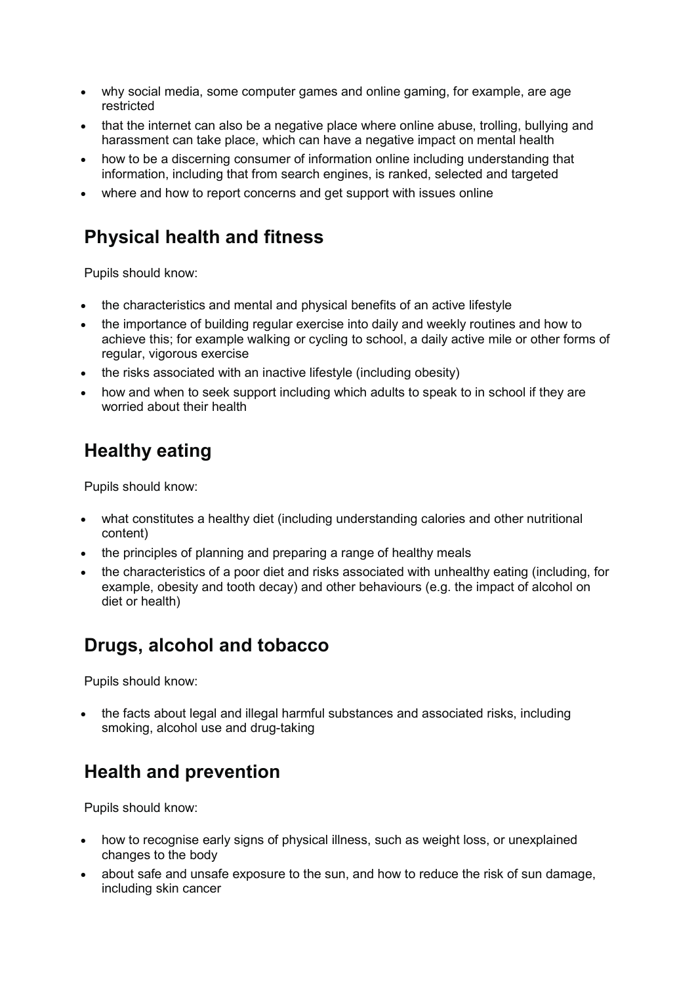- why social media, some computer games and online gaming, for example, are age restricted
- that the internet can also be a negative place where online abuse, trolling, bullying and harassment can take place, which can have a negative impact on mental health
- how to be a discerning consumer of information online including understanding that information, including that from search engines, is ranked, selected and targeted
- where and how to report concerns and get support with issues online

## Physical health and fitness

Pupils should know:

- the characteristics and mental and physical benefits of an active lifestyle
- the importance of building regular exercise into daily and weekly routines and how to achieve this; for example walking or cycling to school, a daily active mile or other forms of regular, vigorous exercise
- the risks associated with an inactive lifestyle (including obesity)
- how and when to seek support including which adults to speak to in school if they are worried about their health

# Healthy eating

Pupils should know:

- what constitutes a healthy diet (including understanding calories and other nutritional content)
- the principles of planning and preparing a range of healthy meals
- the characteristics of a poor diet and risks associated with unhealthy eating (including, for example, obesity and tooth decay) and other behaviours (e.g. the impact of alcohol on diet or health)

## Drugs, alcohol and tobacco

Pupils should know:

 the facts about legal and illegal harmful substances and associated risks, including smoking, alcohol use and drug-taking

# Health and prevention

- how to recognise early signs of physical illness, such as weight loss, or unexplained changes to the body
- about safe and unsafe exposure to the sun, and how to reduce the risk of sun damage, including skin cancer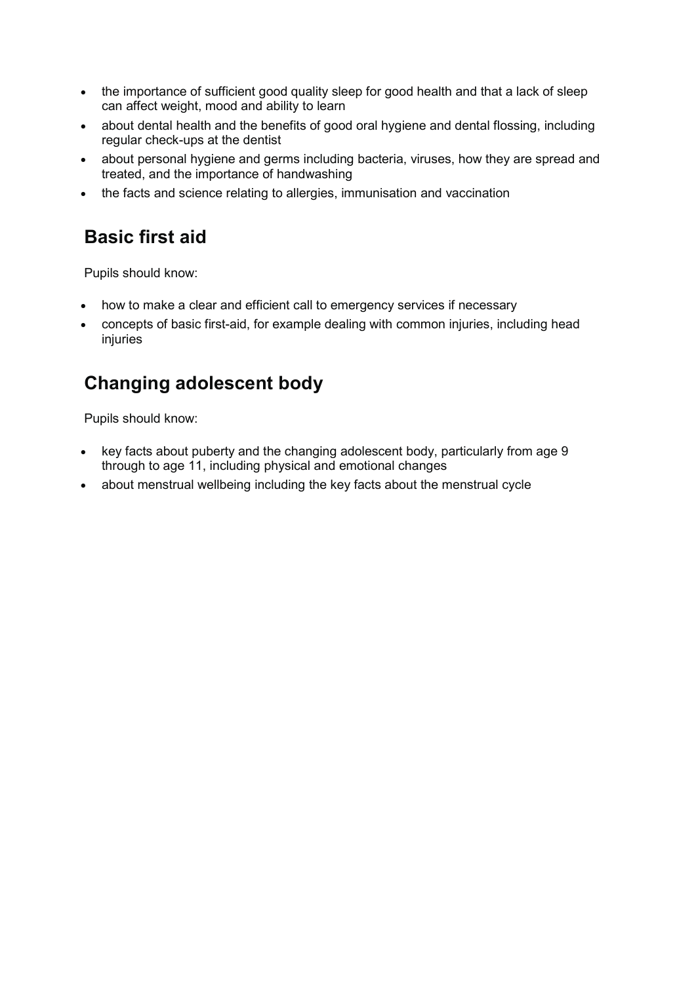- the importance of sufficient good quality sleep for good health and that a lack of sleep can affect weight, mood and ability to learn
- about dental health and the benefits of good oral hygiene and dental flossing, including regular check-ups at the dentist
- about personal hygiene and germs including bacteria, viruses, how they are spread and treated, and the importance of handwashing
- the facts and science relating to allergies, immunisation and vaccination

## Basic first aid

Pupils should know:

- how to make a clear and efficient call to emergency services if necessary
- concepts of basic first-aid, for example dealing with common injuries, including head iniuries

# Changing adolescent body

- key facts about puberty and the changing adolescent body, particularly from age 9 through to age 11, including physical and emotional changes
- about menstrual wellbeing including the key facts about the menstrual cycle